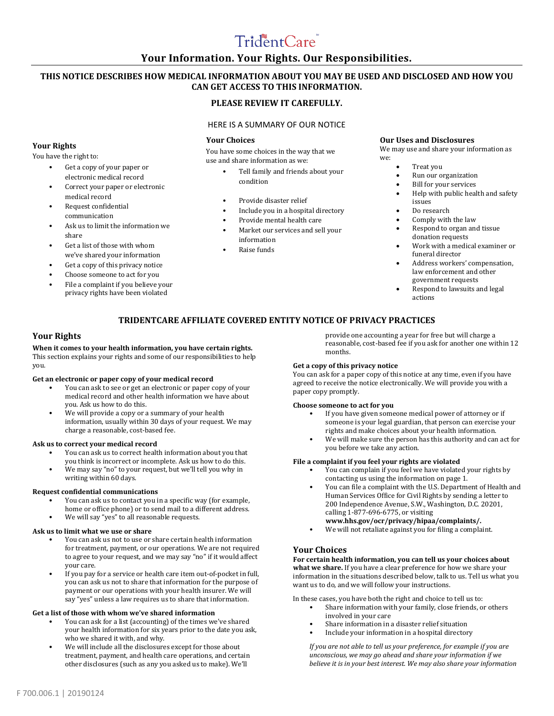# TridentCare

# **Your Information. Your Rights. Our Responsibilities.**

# **THIS NOTICE DESCRIBES HOW MEDICAL INFORMATION ABOUT YOU MAY BE USED AND DISCLOSED AND HOW YOU CAN GET ACCESS TO THIS INFORMATION.**

## **PLEASE REVIEW IT CAREFULLY.**

## HERE IS A SUMMARY OF OUR NOTICE

## **Your Choices**

You have some choices in the way that we use and share information as we:

- Tell family and friends about your condition
- Provide disaster relief
- Include you in a hospital directory
- Provide mental health care
- Market our services and sell your information
- Raise funds

## **Our Uses and Disclosures**

We may use and share your information as we:

- Treat you
- Run our organization
- **Bill for your services**
- Help with public health and safety issues
- Do research
- Comply with the law
- Respond to organ and tissue donation requests
- Work with a medical examiner or funeral director
- Address workers' compensation, law enforcement and other government requests
- Respond to lawsuits and legal actions

# **TRIDENTCARE AFFILIATE COVERED ENTITY NOTICE OF PRIVACY PRACTICES**

## **Your Rights**

**When it comes to your health information, you have certain rights.**  This section explains your rights and some of our responsibilities to help you.

#### **Get an electronic or paper copy of your medical record**

- You can ask to see or get an electronic or paper copy of your medical record and other health information we have about you. Ask us how to do this.
- We will provide a copy or a summary of your health information, usually within 30 days of your request. We may charge a reasonable, cost-based fee.

#### **Ask us to correct your medical record**

- You can ask us to correct health information about you that you think is incorrect or incomplete. Ask us how to do this.
- We may say "no" to your request, but we'll tell you why in writing within 60 days.

## **Request confidential communications**

- You can ask us to contact you in a specific way (for example,
- home or office phone) or to send mail to a different address.
- We will say "yes" to all reasonable requests.

## **Ask us to limit what we use or share**

- You can ask us not to use or share certain health information for treatment, payment, or our operations. We are not required to agree to your request, and we may say "no" if it would affect your care.
- If you pay for a service or health care item out-of-pocket in full, you can ask us not to share that information for the purpose of payment or our operations with your health insurer. We will say "yes" unless a law requires us to share that information.

#### **Get a list of those with whom we've shared information**

- You can ask for a list (accounting) of the times we've shared your health information for six years prior to the date you ask, who we shared it with, and why.
- We will include all the disclosures except for those about treatment, payment, and health care operations, and certain other disclosures (such as any you asked us to make). We'll

provide one accounting a year for free but will charge a reasonable, cost-based fee if you ask for another one within 12 months.

#### **Get a copy of this privacy notice**

You can ask for a paper copy of this notice at any time, even if you have agreed to receive the notice electronically. We will provide you with a paper copy promptly.

## **Choose someone to act for you**

- If you have given someone medical power of attorney or if someone is your legal guardian, that person can exercise your rights and make choices about your health information.
- We will make sure the person has this authority and can act for you before we take any action.

## **File a complaint if you feel your rights are violated**

- You can complain if you feel we have violated your rights by contacting us using the information on page 1.
- You can file a complaint with the U.S. Department of Health and Human Services Office for Civil Rights by sending a letter to 200 Independence Avenue, S.W., Washington, D.C. 20201, calling 1-877-696-6775, or visiting
- **www.hhs.gov/ocr/privacy/hipaa/complaints/.**
- We will not retaliate against you for filing a complaint.

## **Your Choices**

**For certain health information, you can tell us your choices about what we share.** If you have a clear preference for how we share your information in the situations described below, talk to us. Tell us what you want us to do, and we will follow your instructions.

In these cases, you have both the right and choice to tell us to:

- Share information with your family, close friends, or others involved in your care
- Share information in a disaster relief situation
- Include your information in a hospital directory

*If you are not able to tell us your preference, for example if you are unconscious, we may go ahead and share your information if we believe it is in your best interest. We may also share your information* 

## **Your Rights** You have the right to:

Get a copy of your paper or electronic medical record • Correct your paper or electronic

Ask us to limit the information we

Get a list of those with whom we've shared your information Get a copy of this privacy notice • Choose someone to act for you • File a complaint if you believe your privacy rights have been violated

medical record • Request confidential communication

share